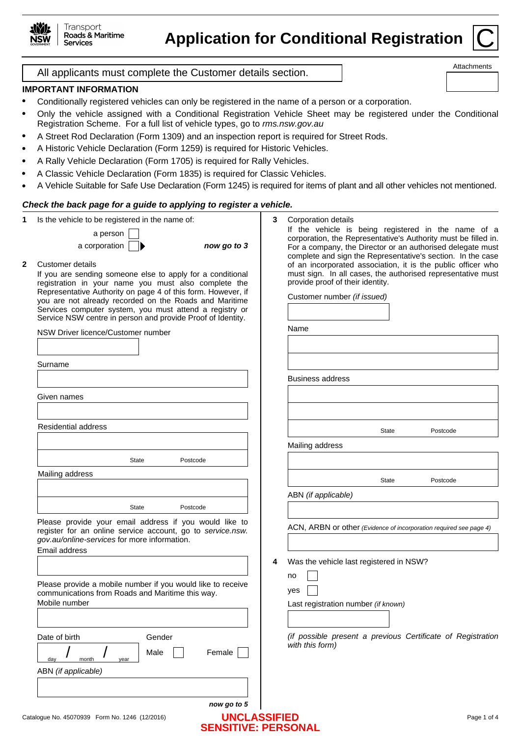

# **Application for Conditional Registration**



Attachments

All applicants must complete the Customer details section.

# **IMPORTANT INFORMATION**

- Conditionally registered vehicles can only be registered in the name of a person or a corporation.
- Only the vehicle assigned with a Conditional Registration Vehicle Sheet may be registered under the Conditional Registration Scheme. For a full list of vehicle types, go to *rms.nsw.gov.au*
- A Street Rod Declaration (Form 1309) and an inspection report is required for Street Rods.
- A Historic Vehicle Declaration (Form 1259) is required for Historic Vehicles.
- A Rally Vehicle Declaration (Form 1705) is required for Rally Vehicles.
- A Classic Vehicle Declaration (Form 1835) is required for Classic Vehicles.  $\bullet$
- A Vehicle Suitable for Safe Use Declaration (Form 1245) is required for items of plant and all other vehicles not mentioned.  $\bullet$

## *Check the back page for a guide to applying to register a vehicle.*

| 1 | Is the vehicle to be registered in the name of:                                                                        | 3 | Corporation details                                                                                                          |
|---|------------------------------------------------------------------------------------------------------------------------|---|------------------------------------------------------------------------------------------------------------------------------|
|   | a person                                                                                                               |   | If the vehicle is being registered in the name of a                                                                          |
|   | now go to 3<br>a corporation                                                                                           |   | corporation, the Representative's Authority must be filled in.<br>For a company, the Director or an authorised delegate must |
| 2 | Customer details                                                                                                       |   | complete and sign the Representative's section. In the case<br>of an incorporated association, it is the public officer who  |
|   | If you are sending someone else to apply for a conditional                                                             |   | must sign. In all cases, the authorised representative must                                                                  |
|   | registration in your name you must also complete the                                                                   |   | provide proof of their identity.                                                                                             |
|   | Representative Authority on page 4 of this form. However, if                                                           |   | Customer number (if issued)                                                                                                  |
|   | you are not already recorded on the Roads and Maritime                                                                 |   |                                                                                                                              |
|   | Services computer system, you must attend a registry or<br>Service NSW centre in person and provide Proof of Identity. |   |                                                                                                                              |
|   | NSW Driver licence/Customer number                                                                                     |   | Name                                                                                                                         |
|   |                                                                                                                        |   |                                                                                                                              |
|   |                                                                                                                        |   |                                                                                                                              |
|   | Surname                                                                                                                |   |                                                                                                                              |
|   |                                                                                                                        |   | <b>Business address</b>                                                                                                      |
|   | Given names                                                                                                            |   |                                                                                                                              |
|   |                                                                                                                        |   |                                                                                                                              |
|   | <b>Residential address</b>                                                                                             |   | <b>State</b><br>Postcode                                                                                                     |
|   |                                                                                                                        |   | Mailing address                                                                                                              |
|   | State<br>Postcode                                                                                                      |   |                                                                                                                              |
|   | Mailing address                                                                                                        |   |                                                                                                                              |
|   |                                                                                                                        |   | Postcode<br>State                                                                                                            |
|   |                                                                                                                        |   | ABN (if applicable)                                                                                                          |
|   | Postcode<br>State                                                                                                      |   |                                                                                                                              |
|   | Please provide your email address if you would like to<br>register for an online service account, go to service.nsw.   |   | ACN, ARBN or other (Evidence of incorporation required see page 4)                                                           |
|   | gov.au/online-services for more information.                                                                           |   |                                                                                                                              |
|   | Email address                                                                                                          |   |                                                                                                                              |
|   |                                                                                                                        | 4 | Was the vehicle last registered in NSW?                                                                                      |
|   | Please provide a mobile number if you would like to receive                                                            |   | no                                                                                                                           |
|   | communications from Roads and Maritime this way.                                                                       |   | yes                                                                                                                          |
|   | Mobile number                                                                                                          |   | Last registration number (if known)                                                                                          |
|   |                                                                                                                        |   |                                                                                                                              |
|   |                                                                                                                        |   | (if possible present a previous Certificate of Registration                                                                  |
|   | Date of birth<br>Gender                                                                                                |   | with this form)                                                                                                              |
|   | Female<br>Male<br>month<br>day<br>year                                                                                 |   |                                                                                                                              |
|   | ABN (if applicable)                                                                                                    |   |                                                                                                                              |
|   |                                                                                                                        |   |                                                                                                                              |
|   | now go to 5                                                                                                            |   |                                                                                                                              |
|   | <b>UNCLASSIFIED</b><br>Catalogue No. 45070939 Form No. 1246 (12/2016)                                                  |   | Page 1 of 4                                                                                                                  |
|   | <b>SENSITIVE: PERSONAL</b>                                                                                             |   |                                                                                                                              |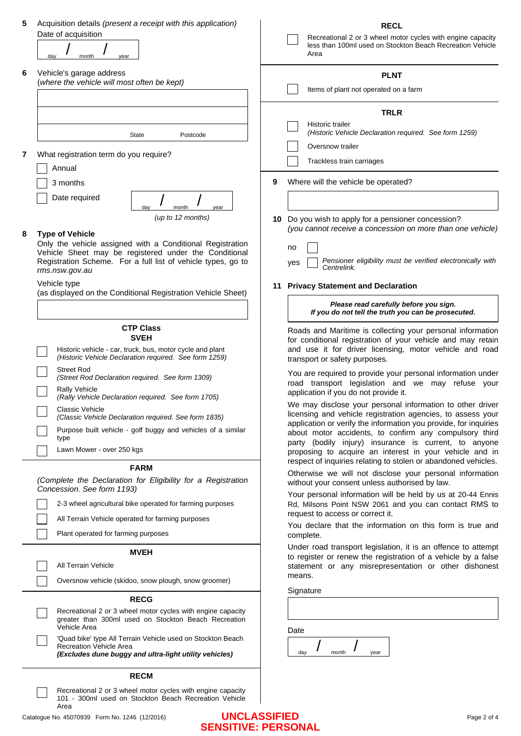| 5 | Acquisition details (present a receipt with this application)                                                         | <b>RECL</b>                                                                                                                    |
|---|-----------------------------------------------------------------------------------------------------------------------|--------------------------------------------------------------------------------------------------------------------------------|
|   | Date of acquisition                                                                                                   | Recreational 2 or 3 wheel motor cycles with engine capacity                                                                    |
|   | day<br>month<br>vear                                                                                                  | less than 100ml used on Stockton Beach Recreation Vehicle<br>Area                                                              |
| 6 | Vehicle's garage address                                                                                              | <b>PLNT</b>                                                                                                                    |
|   | (where the vehicle will most often be kept)                                                                           | Items of plant not operated on a farm                                                                                          |
|   |                                                                                                                       |                                                                                                                                |
|   |                                                                                                                       | <b>TRLR</b>                                                                                                                    |
|   |                                                                                                                       | Historic trailer                                                                                                               |
|   | State<br>Postcode                                                                                                     | (Historic Vehicle Declaration required. See form 1259)                                                                         |
| 7 | What registration term do you require?                                                                                | Oversnow trailer                                                                                                               |
|   | Annual                                                                                                                | Trackless train carriages                                                                                                      |
|   |                                                                                                                       | Where will the vehicle be operated?<br>9                                                                                       |
|   | 3 months                                                                                                              |                                                                                                                                |
|   | Date required<br>day<br>month<br>year                                                                                 |                                                                                                                                |
|   | (up to 12 months)                                                                                                     | 10 Do you wish to apply for a pensioner concession?                                                                            |
| 8 | <b>Type of Vehicle</b>                                                                                                | (you cannot receive a concession on more than one vehicle)                                                                     |
|   | Only the vehicle assigned with a Conditional Registration                                                             | no                                                                                                                             |
|   | Vehicle Sheet may be registered under the Conditional<br>Registration Scheme. For a full list of vehicle types, go to | Pensioner eligibility must be verified electronically with                                                                     |
|   | rms.nsw.gov.au                                                                                                        | yes<br>Centrelink.                                                                                                             |
|   | Vehicle type                                                                                                          | 11 Privacy Statement and Declaration                                                                                           |
|   | (as displayed on the Conditional Registration Vehicle Sheet)                                                          | Please read carefully before you sign.                                                                                         |
|   |                                                                                                                       | If you do not tell the truth you can be prosecuted.                                                                            |
|   | <b>CTP Class</b>                                                                                                      | Roads and Maritime is collecting your personal information                                                                     |
|   | <b>SVEH</b>                                                                                                           | for conditional registration of your vehicle and may retain                                                                    |
|   | Historic vehicle - car, truck, bus, motor cycle and plant<br>(Historic Vehicle Declaration required. See form 1259)   | and use it for driver licensing, motor vehicle and road<br>transport or safety purposes.                                       |
|   | <b>Street Rod</b><br>(Street Rod Declaration required. See form 1309)                                                 | You are required to provide your personal information under                                                                    |
|   | <b>Rally Vehicle</b>                                                                                                  | road transport legislation and we may refuse your<br>application if you do not provide it.                                     |
|   | (Rally Vehicle Declaration required. See form 1705)                                                                   | We may disclose your personal information to other driver                                                                      |
|   | Classic Vehicle<br>(Classic Vehicle Declaration required. See form 1835)                                              | licensing and vehicle registration agencies, to assess your                                                                    |
|   | Purpose built vehicle - golf buggy and vehicles of a similar                                                          | application or verify the information you provide, for inquiries<br>about motor accidents, to confirm any compulsory third     |
|   | type                                                                                                                  | party (bodily injury) insurance is current, to anyone                                                                          |
|   | Lawn Mower - over 250 kgs                                                                                             | proposing to acquire an interest in your vehicle and in<br>respect of inquiries relating to stolen or abandoned vehicles.      |
|   | <b>FARM</b>                                                                                                           | Otherwise we will not disclose your personal information                                                                       |
|   | (Complete the Declaration for Eligibility for a Registration<br>Concession. See form 1193)                            | without your consent unless authorised by law.                                                                                 |
|   |                                                                                                                       | Your personal information will be held by us at 20-44 Ennis                                                                    |
|   | 2-3 wheel agricultural bike operated for farming purposes                                                             | Rd, Milsons Point NSW 2061 and you can contact RMS to<br>request to access or correct it.                                      |
|   | All Terrain Vehicle operated for farming purposes                                                                     | You declare that the information on this form is true and                                                                      |
|   | Plant operated for farming purposes                                                                                   | complete.                                                                                                                      |
|   | <b>MVEH</b>                                                                                                           | Under road transport legislation, it is an offence to attempt<br>to register or renew the registration of a vehicle by a false |
|   | All Terrain Vehicle                                                                                                   | statement or any misrepresentation or other dishonest                                                                          |
|   | Oversnow vehicle (skidoo, snow plough, snow groomer)                                                                  | means.                                                                                                                         |
|   | <b>RECG</b>                                                                                                           | Signature                                                                                                                      |
|   | Recreational 2 or 3 wheel motor cycles with engine capacity                                                           |                                                                                                                                |
|   | greater than 300ml used on Stockton Beach Recreation<br>Vehicle Area                                                  | Date                                                                                                                           |
|   | 'Quad bike' type All Terrain Vehicle used on Stockton Beach                                                           |                                                                                                                                |
|   | <b>Recreation Vehicle Area</b><br>(Excludes dune buggy and ultra-light utility vehicles)                              | month<br>day<br>year                                                                                                           |
|   | <b>RECM</b>                                                                                                           |                                                                                                                                |
|   | Recreational 2 or 3 wheel motor cycles with engine capacity                                                           |                                                                                                                                |
|   | 101 - 300ml used on Stockton Beach Recreation Vehicle<br>Area                                                         |                                                                                                                                |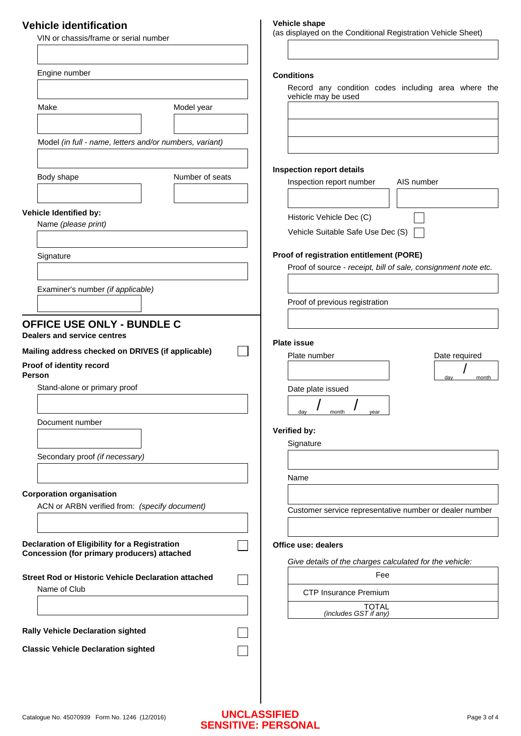# **Vehicle identification**

| VIN or chassis/frame or serial number                                                                                                                       | (as displayed on the Conditional Registration Vehicle Sheet)                                               |
|-------------------------------------------------------------------------------------------------------------------------------------------------------------|------------------------------------------------------------------------------------------------------------|
| Engine number                                                                                                                                               | <b>Conditions</b>                                                                                          |
|                                                                                                                                                             | Record any condition codes including area where the                                                        |
| Make<br>Model year                                                                                                                                          | vehicle may be used                                                                                        |
| Model (in full - name, letters and/or numbers, variant)                                                                                                     |                                                                                                            |
| Number of seats<br>Body shape                                                                                                                               | <b>Inspection report details</b><br>Inspection report number<br>AIS number                                 |
| Vehicle Identified by:<br>Name (please print)                                                                                                               | Historic Vehicle Dec (C)<br>Vehicle Suitable Safe Use Dec (S)                                              |
| Signature                                                                                                                                                   | Proof of registration entitlement (PORE)<br>Proof of source - receipt, bill of sale, consignment note etc. |
| Examiner's number (if applicable)                                                                                                                           | Proof of previous registration                                                                             |
| <b>OFFICE USE ONLY - BUNDLE C</b><br>Dealers and service centres<br>Mailing address checked on DRIVES (if applicable)<br>Proof of identity record<br>Person | <b>Plate issue</b><br>Date required<br>Plate number<br>month<br>day                                        |
| Stand-alone or primary proof                                                                                                                                | Date plate issued                                                                                          |
| Document number                                                                                                                                             | day<br>month<br>year<br>Verified by:<br>Signature                                                          |
| Secondary proof (if necessary)                                                                                                                              |                                                                                                            |
|                                                                                                                                                             | Name                                                                                                       |
| <b>Corporation organisation</b><br>ACN or ARBN verified from: (specify document)                                                                            | Customer service representative number or dealer number                                                    |
| Declaration of Eligibility for a Registration<br><b>Concession (for primary producers) attached</b>                                                         | Office use: dealers<br>Give details of the charges calculated for the vehicle:                             |
| <b>Street Rod or Historic Vehicle Declaration attached</b>                                                                                                  | Fee                                                                                                        |
| Name of Club                                                                                                                                                | <b>CTP Insurance Premium</b>                                                                               |
|                                                                                                                                                             | <b>TOTAL</b><br>(includes GST if any)                                                                      |
| <b>Rally Vehicle Declaration sighted</b>                                                                                                                    |                                                                                                            |
| <b>Classic Vehicle Declaration sighted</b>                                                                                                                  |                                                                                                            |
|                                                                                                                                                             |                                                                                                            |

**Vehicle shape** 

 $\overline{1}$